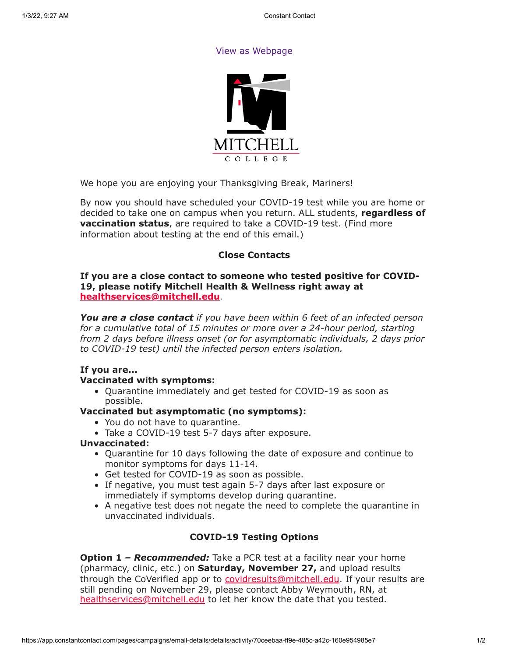### [View as Webpage](https://campaignlp.constantcontact.com/em/1119223208753/70ceebaa-ff9e-485c-a42c-160e954985e7)



We hope you are enjoying your Thanksgiving Break, Mariners!

By now you should have scheduled your COVID-19 test while you are home or decided to take one on campus when you return. ALL students, **regardless of vaccination status**, are required to take a COVID-19 test. (Find more information about testing at the end of this email.)

## **Close Contacts**

### **If you are a close contact to someone who tested positive for COVID-19, please notify Mitchell Health & Wellness right away at [healthservices@mitchell.edu](mailto:healthservices@mitchell.edu)**.

*You are a close contact if you have been within 6 feet of an infected person for a cumulative total of 15 minutes or more over a 24-hour period, starting from 2 days before illness onset (or for asymptomatic individuals, 2 days prior to COVID-19 test) until the infected person enters isolation.*

## **If you are...**

## **Vaccinated with symptoms:**

Quarantine immediately and get tested for COVID-19 as soon as possible.

### **Vaccinated but asymptomatic (no symptoms):**

- You do not have to quarantine.
- Take a COVID-19 test 5-7 days after exposure.

#### **Unvaccinated:**

- Quarantine for 10 days following the date of exposure and continue to monitor symptoms for days 11-14.
- Get tested for COVID-19 as soon as possible.
- If negative, you must test again 5-7 days after last exposure or immediately if symptoms develop during quarantine.
- A negative test does not negate the need to complete the quarantine in unvaccinated individuals.

## **COVID-19 Testing Options**

**Option 1** *– Recommended:* Take a PCR test at a facility near your home (pharmacy, clinic, etc.) on **Saturday, November 27,** and upload results through the CoVerified app or to [covidresults@mitchell.edu](mailto:covidresults@mitchell.edu). If your results are still pending on November 29, please contact Abby Weymouth, RN, at [healthservices@mitchell.edu](mailto:healthservices@mitchell.edu) to let her know the date that you tested.